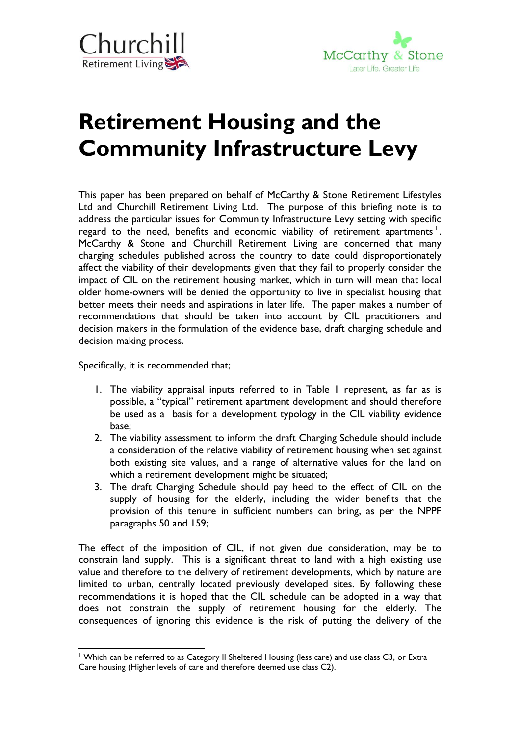



# **Retirement Housing and the Community Infrastructure Levy**

This paper has been prepared on behalf of McCarthy & Stone Retirement Lifestyles Ltd and Churchill Retirement Living Ltd. The purpose of this briefing note is to address the particular issues for Community Infrastructure Levy setting with specific regard to the need, benefits and economic viability of retirement apartments  $^{\mathsf{I}}.$ McCarthy & Stone and Churchill Retirement Living are concerned that many charging schedules published across the country to date could disproportionately affect the viability of their developments given that they fail to properly consider the impact of CIL on the retirement housing market, which in turn will mean that local older home-owners will be denied the opportunity to live in specialist housing that better meets their needs and aspirations in later life. The paper makes a number of recommendations that should be taken into account by CIL practitioners and decision makers in the formulation of the evidence base, draft charging schedule and decision making process.

Specifically, it is recommended that;

- 1. The viability appraisal inputs referred to in Table 1 represent, as far as is possible, a "typical" retirement apartment development and should therefore be used as a basis for a development typology in the CIL viability evidence base;
- 2. The viability assessment to inform the draft Charging Schedule should include a consideration of the relative viability of retirement housing when set against both existing site values, and a range of alternative values for the land on which a retirement development might be situated;
- 3. The draft Charging Schedule should pay heed to the effect of CIL on the supply of housing for the elderly, including the wider benefits that the provision of this tenure in sufficient numbers can bring, as per the NPPF paragraphs 50 and 159;

The effect of the imposition of CIL, if not given due consideration, may be to constrain land supply. This is a significant threat to land with a high existing use value and therefore to the delivery of retirement developments, which by nature are limited to urban, centrally located previously developed sites. By following these recommendations it is hoped that the CIL schedule can be adopted in a way that does not constrain the supply of retirement housing for the elderly. The consequences of ignoring this evidence is the risk of putting the delivery of the

 $\overline{a}$ <sup>1</sup> Which can be referred to as Category II Sheltered Housing (less care) and use class C3, or Extra Care housing (Higher levels of care and therefore deemed use class C2).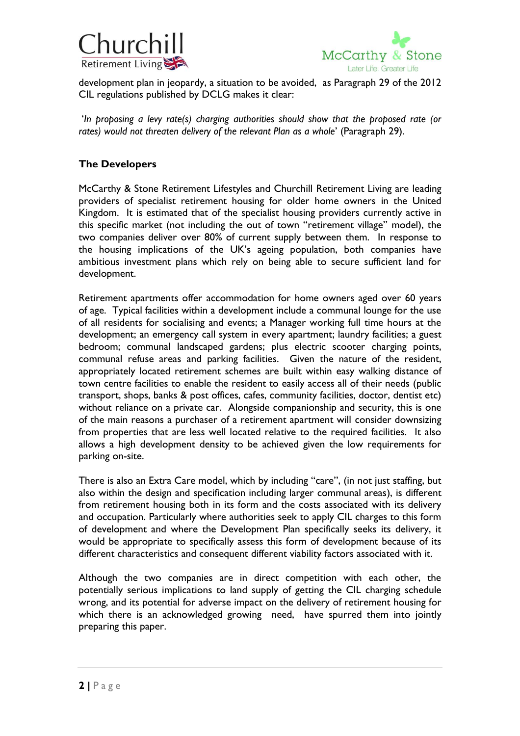



development plan in jeopardy, a situation to be avoided, as Paragraph 29 of the 2012 CIL regulations published by DCLG makes it clear:

'*In proposing a levy rate(s) charging authorities should show that the proposed rate (or rates) would not threaten delivery of the relevant Plan as a whole*' (Paragraph 29).

# **The Developers**

McCarthy & Stone Retirement Lifestyles and Churchill Retirement Living are leading providers of specialist retirement housing for older home owners in the United Kingdom. It is estimated that of the specialist housing providers currently active in this specific market (not including the out of town "retirement village" model), the two companies deliver over 80% of current supply between them. In response to the housing implications of the UK's ageing population, both companies have ambitious investment plans which rely on being able to secure sufficient land for development.

Retirement apartments offer accommodation for home owners aged over 60 years of age. Typical facilities within a development include a communal lounge for the use of all residents for socialising and events; a Manager working full time hours at the development; an emergency call system in every apartment; laundry facilities; a guest bedroom; communal landscaped gardens; plus electric scooter charging points, communal refuse areas and parking facilities. Given the nature of the resident, appropriately located retirement schemes are built within easy walking distance of town centre facilities to enable the resident to easily access all of their needs (public transport, shops, banks & post offices, cafes, community facilities, doctor, dentist etc) without reliance on a private car. Alongside companionship and security, this is one of the main reasons a purchaser of a retirement apartment will consider downsizing from properties that are less well located relative to the required facilities. It also allows a high development density to be achieved given the low requirements for parking on-site.

There is also an Extra Care model, which by including "care", (in not just staffing, but also within the design and specification including larger communal areas), is different from retirement housing both in its form and the costs associated with its delivery and occupation. Particularly where authorities seek to apply CIL charges to this form of development and where the Development Plan specifically seeks its delivery, it would be appropriate to specifically assess this form of development because of its different characteristics and consequent different viability factors associated with it.

Although the two companies are in direct competition with each other, the potentially serious implications to land supply of getting the CIL charging schedule wrong, and its potential for adverse impact on the delivery of retirement housing for which there is an acknowledged growing need, have spurred them into jointly preparing this paper.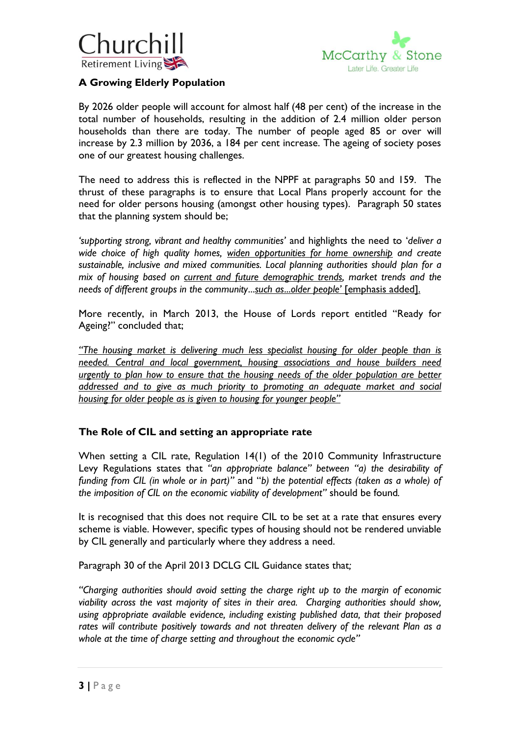



# **A Growing Elderly Population**

By 2026 older people will account for almost half (48 per cent) of the increase in the total number of households, resulting in the addition of 2.4 million older person households than there are today. The number of people aged 85 or over will increase by 2.3 million by 2036, a 184 per cent increase. The ageing of society poses one of our greatest housing challenges.

The need to address this is reflected in the NPPF at paragraphs 50 and 159. The thrust of these paragraphs is to ensure that Local Plans properly account for the need for older persons housing (amongst other housing types). Paragraph 50 states that the planning system should be;

*'supporting strong, vibrant and healthy communities'* and highlights the need to '*deliver a wide choice of high quality homes, widen opportunities for home ownership and create sustainable, inclusive and mixed communities. Local planning authorities should plan for a mix of housing based on current and future demographic trends, market trends and the needs of different groups in the community*...*such as*...*older people'* [emphasis added].

More recently, in March 2013, the House of Lords report entitled "Ready for Ageing?" concluded that;

*"The housing market is delivering much less specialist housing for older people than is needed. Central and local government, housing associations and house builders need urgently to plan how to ensure that the housing needs of the older population are better addressed and to give as much priority to promoting an adequate market and social housing for older people as is given to housing for younger people"*

# **The Role of CIL and setting an appropriate rate**

When setting a CIL rate, Regulation 14(1) of the 2010 Community Infrastructure Levy Regulations states that *"an appropriate balance" between "a) the desirability of funding from CIL (in whole or in part)"* and "*b) the potential effects (taken as a whole) of the imposition of CIL on the economic viability of development"* should be found*.* 

It is recognised that this does not require CIL to be set at a rate that ensures every scheme is viable. However, specific types of housing should not be rendered unviable by CIL generally and particularly where they address a need.

Paragraph 30 of the April 2013 DCLG CIL Guidance states that*;*

*"Charging authorities should avoid setting the charge right up to the margin of economic viability across the vast majority of sites in their area. Charging authorities should show, using appropriate available evidence, including existing published data, that their proposed rates will contribute positively towards and not threaten delivery of the relevant Plan as a whole at the time of charge setting and throughout the economic cycle"*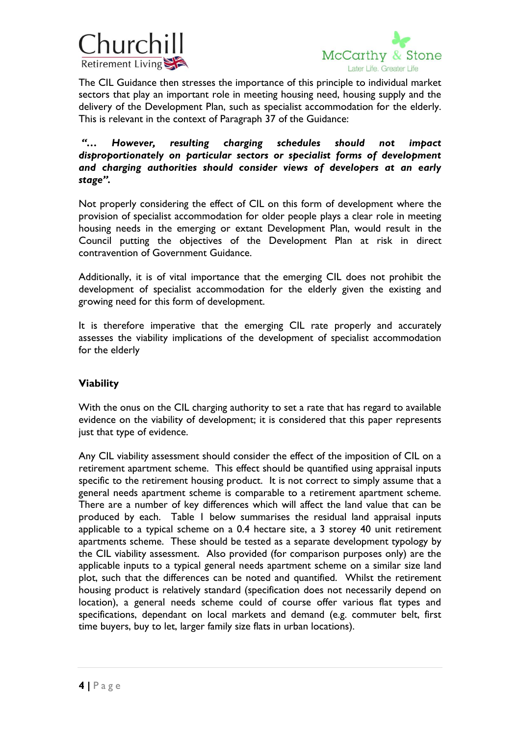



The CIL Guidance then stresses the importance of this principle to individual market sectors that play an important role in meeting housing need, housing supply and the delivery of the Development Plan, such as specialist accommodation for the elderly. This is relevant in the context of Paragraph 37 of the Guidance:

### *"… However, resulting charging schedules should not impact disproportionately on particular sectors or specialist forms of development and charging authorities should consider views of developers at an early stage".*

Not properly considering the effect of CIL on this form of development where the provision of specialist accommodation for older people plays a clear role in meeting housing needs in the emerging or extant Development Plan, would result in the Council putting the objectives of the Development Plan at risk in direct contravention of Government Guidance.

Additionally, it is of vital importance that the emerging CIL does not prohibit the development of specialist accommodation for the elderly given the existing and growing need for this form of development.

It is therefore imperative that the emerging CIL rate properly and accurately assesses the viability implications of the development of specialist accommodation for the elderly

# **Viability**

With the onus on the CIL charging authority to set a rate that has regard to available evidence on the viability of development; it is considered that this paper represents just that type of evidence.

Any CIL viability assessment should consider the effect of the imposition of CIL on a retirement apartment scheme. This effect should be quantified using appraisal inputs specific to the retirement housing product. It is not correct to simply assume that a general needs apartment scheme is comparable to a retirement apartment scheme. There are a number of key differences which will affect the land value that can be produced by each. Table 1 below summarises the residual land appraisal inputs applicable to a typical scheme on a 0.4 hectare site, a 3 storey 40 unit retirement apartments scheme. These should be tested as a separate development typology by the CIL viability assessment. Also provided (for comparison purposes only) are the applicable inputs to a typical general needs apartment scheme on a similar size land plot, such that the differences can be noted and quantified. Whilst the retirement housing product is relatively standard (specification does not necessarily depend on location), a general needs scheme could of course offer various flat types and specifications, dependant on local markets and demand (e.g. commuter belt, first time buyers, buy to let, larger family size flats in urban locations).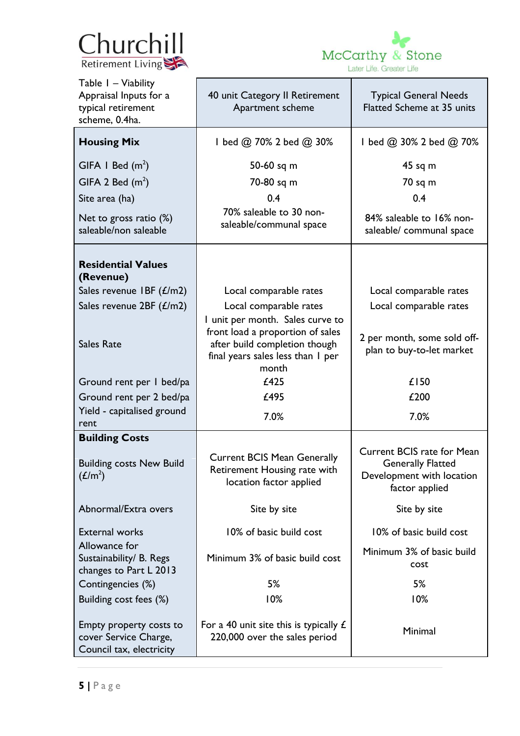



| Table I - Viability<br>Appraisal Inputs for a<br>typical retirement<br>scheme, 0.4ha. | 40 unit Category II Retirement<br>Apartment scheme                                                                                                  | <b>Typical General Needs</b><br>Flatted Scheme at 35 units                                                   |  |  |
|---------------------------------------------------------------------------------------|-----------------------------------------------------------------------------------------------------------------------------------------------------|--------------------------------------------------------------------------------------------------------------|--|--|
| <b>Housing Mix</b>                                                                    | I bed @ 70% 2 bed @ 30%                                                                                                                             | I bed @ 30% 2 bed @ 70%                                                                                      |  |  |
| GIFA I Bed $(m^2)$                                                                    | 50-60 sq m                                                                                                                                          | $45$ sq m                                                                                                    |  |  |
| GIFA 2 Bed $(m^2)$                                                                    | 70-80 sq m                                                                                                                                          | 70 sq m                                                                                                      |  |  |
| Site area (ha)                                                                        | 0.4                                                                                                                                                 | 0.4                                                                                                          |  |  |
| Net to gross ratio $(\%)$                                                             | 70% saleable to 30 non-                                                                                                                             | 84% saleable to 16% non-                                                                                     |  |  |
| saleable/non saleable                                                                 | saleable/communal space                                                                                                                             | saleable/ communal space                                                                                     |  |  |
| <b>Residential Values</b><br>(Revenue)                                                |                                                                                                                                                     |                                                                                                              |  |  |
| Sales revenue IBF $(E/m2)$                                                            | Local comparable rates                                                                                                                              | Local comparable rates                                                                                       |  |  |
| Sales revenue 2BF (£/m2)                                                              | Local comparable rates                                                                                                                              | Local comparable rates                                                                                       |  |  |
| <b>Sales Rate</b>                                                                     | I unit per month. Sales curve to<br>front load a proportion of sales<br>after build completion though<br>final years sales less than I per<br>month | 2 per month, some sold off-<br>plan to buy-to-let market                                                     |  |  |
| Ground rent per I bed/pa                                                              | £425                                                                                                                                                | £150                                                                                                         |  |  |
| Ground rent per 2 bed/pa                                                              | £495                                                                                                                                                | £200                                                                                                         |  |  |
| Yield - capitalised ground<br>rent                                                    | 7.0%                                                                                                                                                | 7.0%                                                                                                         |  |  |
| <b>Building Costs</b>                                                                 |                                                                                                                                                     |                                                                                                              |  |  |
| <b>Building costs New Build</b><br>(L/m <sup>2</sup> )                                | <b>Current BCIS Mean Generally</b><br>Retirement Housing rate with<br>location factor applied                                                       | <b>Current BCIS rate for Mean</b><br><b>Generally Flatted</b><br>Development with location<br>factor applied |  |  |
| Abnormal/Extra overs                                                                  | Site by site                                                                                                                                        | Site by site                                                                                                 |  |  |
| <b>External works</b>                                                                 | 10% of basic build cost                                                                                                                             | 10% of basic build cost                                                                                      |  |  |
| Allowance for<br>Sustainability/ B. Regs<br>changes to Part L 2013                    | Minimum 3% of basic build cost                                                                                                                      | Minimum 3% of basic build<br>cost                                                                            |  |  |
| Contingencies (%)                                                                     | 5%                                                                                                                                                  | 5%                                                                                                           |  |  |
| Building cost fees (%)                                                                | 10%                                                                                                                                                 | 10%                                                                                                          |  |  |
| Empty property costs to<br>cover Service Charge,<br>Council tax, electricity          | For a 40 unit site this is typically $E$<br>220,000 over the sales period                                                                           | Minimal                                                                                                      |  |  |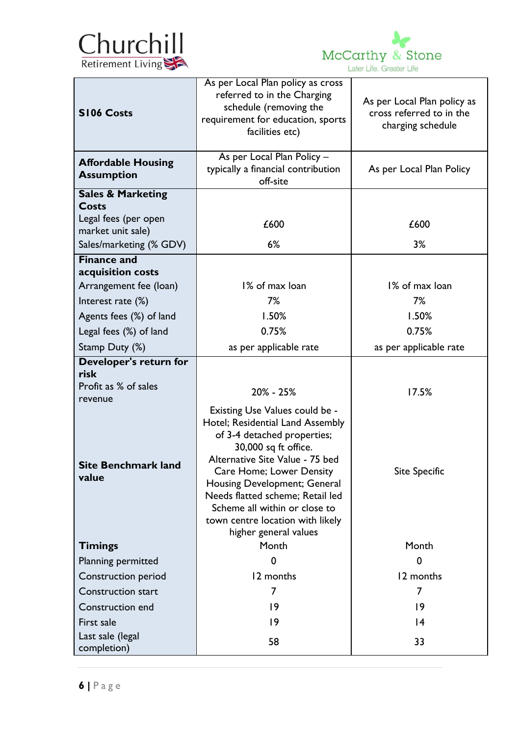



| <b>S106 Costs</b>                              | As per Local Plan policy as cross<br>referred to in the Charging<br>schedule (removing the<br>requirement for education, sports<br>facilities etc)                                                                                                                                                                                                         | As per Local Plan policy as<br>cross referred to in the<br>charging schedule |  |  |
|------------------------------------------------|------------------------------------------------------------------------------------------------------------------------------------------------------------------------------------------------------------------------------------------------------------------------------------------------------------------------------------------------------------|------------------------------------------------------------------------------|--|--|
| <b>Affordable Housing</b><br><b>Assumption</b> | As per Local Plan Policy -<br>typically a financial contribution<br>off-site                                                                                                                                                                                                                                                                               | As per Local Plan Policy                                                     |  |  |
| <b>Sales &amp; Marketing</b>                   |                                                                                                                                                                                                                                                                                                                                                            |                                                                              |  |  |
| Costs<br>Legal fees (per open                  |                                                                                                                                                                                                                                                                                                                                                            |                                                                              |  |  |
| market unit sale)                              | £600                                                                                                                                                                                                                                                                                                                                                       | £600                                                                         |  |  |
| Sales/marketing (% GDV)                        | 6%                                                                                                                                                                                                                                                                                                                                                         | 3%                                                                           |  |  |
| <b>Finance and</b>                             |                                                                                                                                                                                                                                                                                                                                                            |                                                                              |  |  |
| acquisition costs                              |                                                                                                                                                                                                                                                                                                                                                            |                                                                              |  |  |
| Arrangement fee (loan)                         | 1% of max loan                                                                                                                                                                                                                                                                                                                                             | 1% of max loan                                                               |  |  |
| Interest rate (%)                              | 7%                                                                                                                                                                                                                                                                                                                                                         | 7%                                                                           |  |  |
| Agents fees (%) of land                        | 1.50%                                                                                                                                                                                                                                                                                                                                                      | 1.50%                                                                        |  |  |
| Legal fees (%) of land                         | 0.75%                                                                                                                                                                                                                                                                                                                                                      | 0.75%                                                                        |  |  |
| Stamp Duty (%)                                 | as per applicable rate                                                                                                                                                                                                                                                                                                                                     | as per applicable rate                                                       |  |  |
| Developer's return for<br>risk                 |                                                                                                                                                                                                                                                                                                                                                            |                                                                              |  |  |
| Profit as % of sales                           |                                                                                                                                                                                                                                                                                                                                                            |                                                                              |  |  |
| revenue                                        | 20% - 25%                                                                                                                                                                                                                                                                                                                                                  | 17.5%                                                                        |  |  |
| <b>Site Benchmark land</b><br>value            | Existing Use Values could be -<br>Hotel; Residential Land Assembly<br>of 3-4 detached properties;<br>30,000 sq ft office.<br>Alternative Site Value - 75 bed<br>Care Home; Lower Density<br>Housing Development; General<br>Needs flatted scheme; Retail led<br>Scheme all within or close to<br>town centre location with likely<br>higher general values | <b>Site Specific</b>                                                         |  |  |
| <b>Timings</b>                                 | Month                                                                                                                                                                                                                                                                                                                                                      | Month                                                                        |  |  |
| Planning permitted                             | 0                                                                                                                                                                                                                                                                                                                                                          | $\mathbf 0$                                                                  |  |  |
| Construction period                            | 12 months                                                                                                                                                                                                                                                                                                                                                  | 12 months                                                                    |  |  |
| <b>Construction start</b>                      | 7                                                                                                                                                                                                                                                                                                                                                          | 7                                                                            |  |  |
| Construction end                               | 19                                                                                                                                                                                                                                                                                                                                                         | 9                                                                            |  |  |
| First sale                                     | 9                                                                                                                                                                                                                                                                                                                                                          | 4                                                                            |  |  |
| Last sale (legal<br>completion)                | 58                                                                                                                                                                                                                                                                                                                                                         | 33                                                                           |  |  |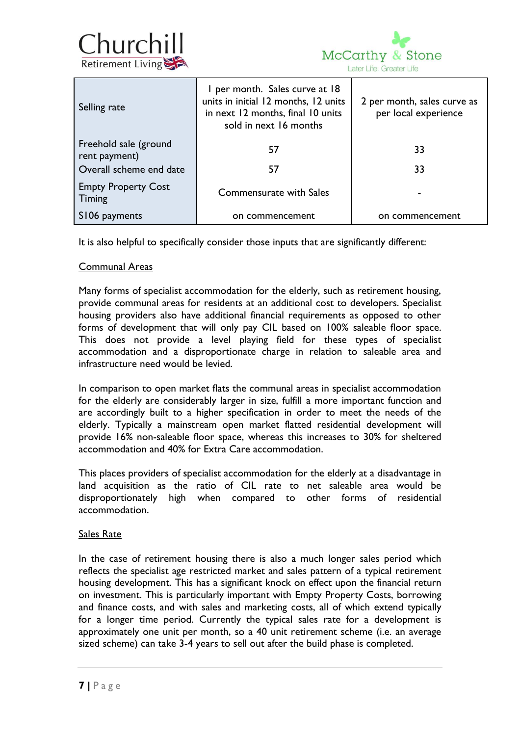



| Selling rate                           | I per month. Sales curve at 18<br>units in initial 12 months, 12 units<br>in next 12 months, final 10 units<br>sold in next 16 months | 2 per month, sales curve as<br>per local experience |  |  |
|----------------------------------------|---------------------------------------------------------------------------------------------------------------------------------------|-----------------------------------------------------|--|--|
| Freehold sale (ground<br>rent payment) | 57                                                                                                                                    | 33                                                  |  |  |
| Overall scheme end date                | 57                                                                                                                                    | 33                                                  |  |  |
| <b>Empty Property Cost</b><br>Timing   | <b>Commensurate with Sales</b>                                                                                                        |                                                     |  |  |
| S106 payments                          | on commencement                                                                                                                       | on commencement                                     |  |  |

It is also helpful to specifically consider those inputs that are significantly different:

#### Communal Areas

Many forms of specialist accommodation for the elderly, such as retirement housing, provide communal areas for residents at an additional cost to developers. Specialist housing providers also have additional financial requirements as opposed to other forms of development that will only pay CIL based on 100% saleable floor space. This does not provide a level playing field for these types of specialist accommodation and a disproportionate charge in relation to saleable area and infrastructure need would be levied.

In comparison to open market flats the communal areas in specialist accommodation for the elderly are considerably larger in size, fulfill a more important function and are accordingly built to a higher specification in order to meet the needs of the elderly. Typically a mainstream open market flatted residential development will provide 16% non-saleable floor space, whereas this increases to 30% for sheltered accommodation and 40% for Extra Care accommodation.

This places providers of specialist accommodation for the elderly at a disadvantage in land acquisition as the ratio of CIL rate to net saleable area would be disproportionately high when compared to other forms of residential accommodation.

#### Sales Rate

In the case of retirement housing there is also a much longer sales period which reflects the specialist age restricted market and sales pattern of a typical retirement housing development. This has a significant knock on effect upon the financial return on investment. This is particularly important with Empty Property Costs, borrowing and finance costs, and with sales and marketing costs, all of which extend typically for a longer time period. Currently the typical sales rate for a development is approximately one unit per month, so a 40 unit retirement scheme (i.e. an average sized scheme) can take 3-4 years to sell out after the build phase is completed.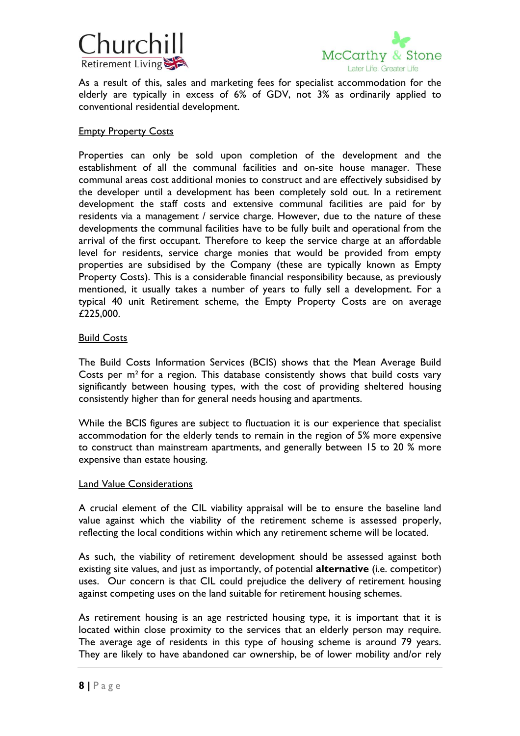



As a result of this, sales and marketing fees for specialist accommodation for the elderly are typically in excess of 6% of GDV, not 3% as ordinarily applied to conventional residential development.

#### **Empty Property Costs**

Properties can only be sold upon completion of the development and the establishment of all the communal facilities and on-site house manager. These communal areas cost additional monies to construct and are effectively subsidised by the developer until a development has been completely sold out. In a retirement development the staff costs and extensive communal facilities are paid for by residents via a management / service charge. However, due to the nature of these developments the communal facilities have to be fully built and operational from the arrival of the first occupant. Therefore to keep the service charge at an affordable level for residents, service charge monies that would be provided from empty properties are subsidised by the Company (these are typically known as Empty Property Costs). This is a considerable financial responsibility because, as previously mentioned, it usually takes a number of years to fully sell a development. For a typical 40 unit Retirement scheme, the Empty Property Costs are on average £225,000.

#### Build Costs

The Build Costs Information Services (BCIS) shows that the Mean Average Build Costs per m² for a region. This database consistently shows that build costs vary significantly between housing types, with the cost of providing sheltered housing consistently higher than for general needs housing and apartments.

While the BCIS figures are subject to fluctuation it is our experience that specialist accommodation for the elderly tends to remain in the region of 5% more expensive to construct than mainstream apartments, and generally between 15 to 20 % more expensive than estate housing.

#### Land Value Considerations

A crucial element of the CIL viability appraisal will be to ensure the baseline land value against which the viability of the retirement scheme is assessed properly, reflecting the local conditions within which any retirement scheme will be located.

As such, the viability of retirement development should be assessed against both existing site values, and just as importantly, of potential **alternative** (i.e. competitor) uses. Our concern is that CIL could prejudice the delivery of retirement housing against competing uses on the land suitable for retirement housing schemes.

As retirement housing is an age restricted housing type, it is important that it is located within close proximity to the services that an elderly person may require. The average age of residents in this type of housing scheme is around 79 years. They are likely to have abandoned car ownership, be of lower mobility and/or rely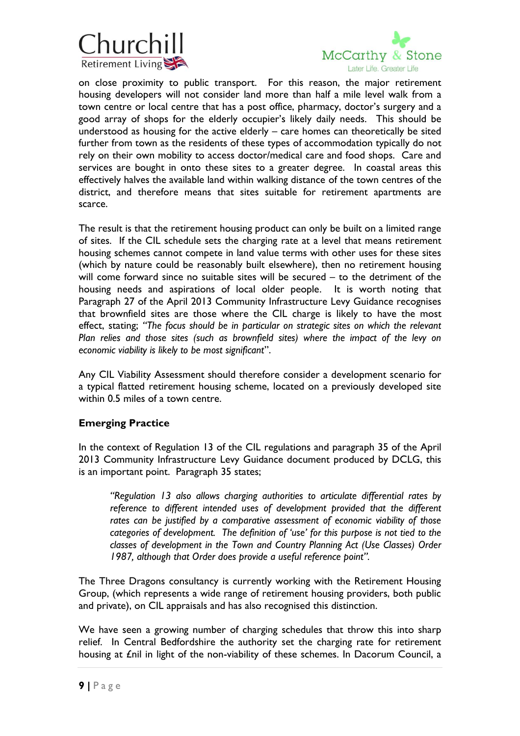



on close proximity to public transport. For this reason, the major retirement housing developers will not consider land more than half a mile level walk from a town centre or local centre that has a post office, pharmacy, doctor's surgery and a good array of shops for the elderly occupier's likely daily needs. This should be understood as housing for the active elderly – care homes can theoretically be sited further from town as the residents of these types of accommodation typically do not rely on their own mobility to access doctor/medical care and food shops. Care and services are bought in onto these sites to a greater degree. In coastal areas this effectively halves the available land within walking distance of the town centres of the district, and therefore means that sites suitable for retirement apartments are scarce.

The result is that the retirement housing product can only be built on a limited range of sites. If the CIL schedule sets the charging rate at a level that means retirement housing schemes cannot compete in land value terms with other uses for these sites (which by nature could be reasonably built elsewhere), then no retirement housing will come forward since no suitable sites will be secured – to the detriment of the housing needs and aspirations of local older people. It is worth noting that Paragraph 27 of the April 2013 Community Infrastructure Levy Guidance recognises that brownfield sites are those where the CIL charge is likely to have the most effect, stating; *"The focus should be in particular on strategic sites on which the relevant Plan relies and those sites (such as brownfield sites) where the impact of the levy on economic viability is likely to be most significant*".

Any CIL Viability Assessment should therefore consider a development scenario for a typical flatted retirement housing scheme, located on a previously developed site within 0.5 miles of a town centre.

#### **Emerging Practice**

In the context of Regulation 13 of the CIL regulations and paragraph 35 of the April 2013 Community Infrastructure Levy Guidance document produced by DCLG, this is an important point. Paragraph 35 states;

*"Regulation 13 also allows charging authorities to articulate differential rates by reference to different intended uses of development provided that the different rates can be justified by a comparative assessment of economic viability of those categories of development. The definition of 'use' for this purpose is not tied to the classes of development in the Town and Country Planning Act (Use Classes) Order 1987, although that Order does provide a useful reference point".*

The Three Dragons consultancy is currently working with the Retirement Housing Group, (which represents a wide range of retirement housing providers, both public and private), on CIL appraisals and has also recognised this distinction.

We have seen a growing number of charging schedules that throw this into sharp relief. In Central Bedfordshire the authority set the charging rate for retirement housing at £nil in light of the non-viability of these schemes. In Dacorum Council, a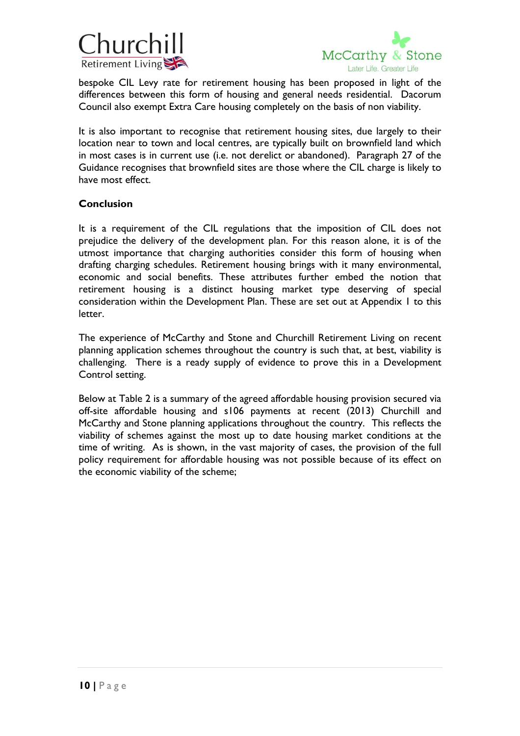



bespoke CIL Levy rate for retirement housing has been proposed in light of the differences between this form of housing and general needs residential. Dacorum Council also exempt Extra Care housing completely on the basis of non viability.

It is also important to recognise that retirement housing sites, due largely to their location near to town and local centres, are typically built on brownfield land which in most cases is in current use (i.e. not derelict or abandoned). Paragraph 27 of the Guidance recognises that brownfield sites are those where the CIL charge is likely to have most effect.

#### **Conclusion**

It is a requirement of the CIL regulations that the imposition of CIL does not prejudice the delivery of the development plan. For this reason alone, it is of the utmost importance that charging authorities consider this form of housing when drafting charging schedules. Retirement housing brings with it many environmental, economic and social benefits. These attributes further embed the notion that retirement housing is a distinct housing market type deserving of special consideration within the Development Plan. These are set out at Appendix 1 to this letter.

The experience of McCarthy and Stone and Churchill Retirement Living on recent planning application schemes throughout the country is such that, at best, viability is challenging. There is a ready supply of evidence to prove this in a Development Control setting.

Below at Table 2 is a summary of the agreed affordable housing provision secured via off-site affordable housing and s106 payments at recent (2013) Churchill and McCarthy and Stone planning applications throughout the country. This reflects the viability of schemes against the most up to date housing market conditions at the time of writing. As is shown, in the vast majority of cases, the provision of the full policy requirement for affordable housing was not possible because of its effect on the economic viability of the scheme;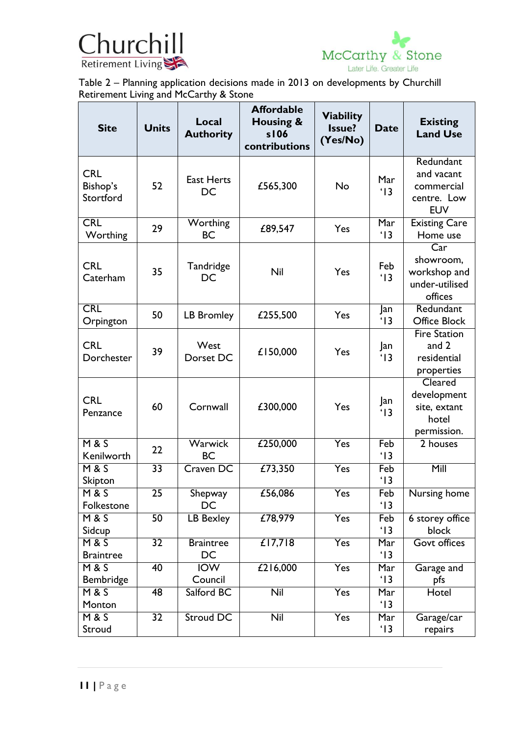



Table 2 – Planning application decisions made in 2013 on developments by Churchill Retirement Living and McCarthy & Stone

| <b>Site</b>                         | <b>Units</b>    | Local<br><b>Authority</b>   | <b>Affordable</b><br>Housing &<br>s106<br>contributions | <b>Viability</b><br>Issue?<br>(Yes/No) | <b>Date</b>           | <b>Existing</b><br><b>Land Use</b>                                                |
|-------------------------------------|-----------------|-----------------------------|---------------------------------------------------------|----------------------------------------|-----------------------|-----------------------------------------------------------------------------------|
| <b>CRL</b><br>Bishop's<br>Stortford | 52              | <b>East Herts</b><br>DC     | £565,300                                                | No                                     | Mar<br>$^{\prime}$ 13 | Redundant<br>and vacant<br>commercial<br>centre. Low<br><b>EUV</b>                |
| CRL<br>Worthing                     | 29              | Worthing<br><b>BC</b>       | £89,547                                                 | Yes                                    | Mar<br>$^{\prime}$ 13 | <b>Existing Care</b><br>Home use                                                  |
| <b>CRL</b><br>Caterham              | 35              | Tandridge<br>DC             | Nil                                                     | Yes                                    | Feb<br>'13            | $\overline{\text{Car}}$<br>showroom,<br>workshop and<br>under-utilised<br>offices |
| <b>CRL</b><br>Orpington             | 50              | LB Bromley                  | £255,500                                                | Yes                                    | Jan<br>$^{\prime}$ 13 | Redundant<br><b>Office Block</b>                                                  |
| <b>CRL</b><br>Dorchester            | 39              | West<br>Dorset DC           | £150,000                                                | Yes                                    | Jan<br>'13            | <b>Fire Station</b><br>and 2<br>residential<br>properties                         |
| <b>CRL</b><br>Penzance              | 60              | Cornwall                    | £300,000                                                | Yes                                    | Jan<br>$^{\prime}$ 13 | Cleared<br>development<br>site, extant<br>hotel<br>permission.                    |
| <b>M&amp;S</b><br>Kenilworth        | 22              | <b>Warwick</b><br><b>BC</b> | £250,000                                                | Yes                                    | Feb<br>$^{\prime}$ 13 | 2 houses                                                                          |
| <b>M&amp;S</b><br>Skipton           | $\overline{33}$ | Craven DC                   | £73,350                                                 | Yes                                    | Feb<br>'13            | Mill                                                                              |
| <b>M&amp;S</b><br>Folkestone        | $\overline{25}$ | Shepway<br>DC               | £56,086                                                 | Yes                                    | Feb<br>$^{\prime}$ 13 | Nursing home                                                                      |
| <b>M&amp;S</b><br>Sidcup            | 50              | LB Bexley                   | £78,979                                                 | Yes                                    | Feb<br>$^{\prime}$ 13 | 6 storey office<br>block                                                          |
| <b>M&amp;S</b><br><b>Braintree</b>  | $\overline{32}$ | <b>Braintree</b><br>DC      | £17,718                                                 | Yes                                    | Mar<br>$^{\prime}$ 13 | <b>Govt offices</b>                                                               |
| <b>M&amp;S</b><br>Bembridge         | 40              | <b>IOW</b><br>Council       | £216,000                                                | Yes                                    | Mar<br>$^{\prime}$ 13 | Garage and<br>pfs                                                                 |
| <b>M &amp; S</b><br>Monton          | 48              | Salford BC                  | Nil                                                     | Yes                                    | Mar<br>$^{\prime}$ 13 | Hotel                                                                             |
| <b>M&amp;S</b><br>Stroud            | $\overline{32}$ | <b>Stroud DC</b>            | $\overline{\text{Nil}}$                                 | Yes                                    | Mar<br>$^{\prime}$ 13 | Garage/car<br>repairs                                                             |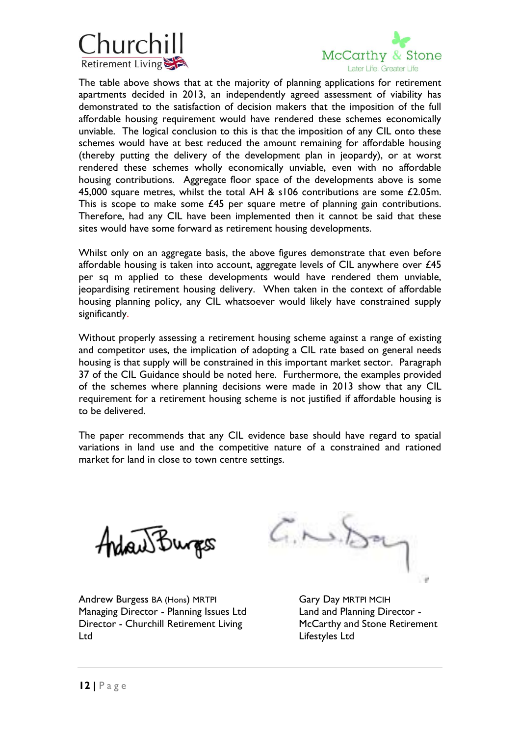



The table above shows that at the majority of planning applications for retirement apartments decided in 2013, an independently agreed assessment of viability has demonstrated to the satisfaction of decision makers that the imposition of the full affordable housing requirement would have rendered these schemes economically unviable. The logical conclusion to this is that the imposition of any CIL onto these schemes would have at best reduced the amount remaining for affordable housing (thereby putting the delivery of the development plan in jeopardy), or at worst rendered these schemes wholly economically unviable, even with no affordable housing contributions. Aggregate floor space of the developments above is some 45,000 square metres, whilst the total AH & s106 contributions are some £2.05m. This is scope to make some £45 per square metre of planning gain contributions. Therefore, had any CIL have been implemented then it cannot be said that these sites would have some forward as retirement housing developments.

Whilst only on an aggregate basis, the above figures demonstrate that even before affordable housing is taken into account, aggregate levels of CIL anywhere over £45 per sq m applied to these developments would have rendered them unviable, jeopardising retirement housing delivery. When taken in the context of affordable housing planning policy, any CIL whatsoever would likely have constrained supply significantly.

Without properly assessing a retirement housing scheme against a range of existing and competitor uses, the implication of adopting a CIL rate based on general needs housing is that supply will be constrained in this important market sector. Paragraph 37 of the CIL Guidance should be noted here. Furthermore, the examples provided of the schemes where planning decisions were made in 2013 show that any CIL requirement for a retirement housing scheme is not justified if affordable housing is to be delivered.

The paper recommends that any CIL evidence base should have regard to spatial variations in land use and the competitive nature of a constrained and rationed market for land in close to town centre settings.



Andrew Burgess BA (Hons) MRTPI Gary Day MRTPI MCIH Managing Director - Planning Issues Ltd Land and Planning Director -Director - Churchill Retirement Living McCarthy and Stone Retirement Ltd Lifestyles Ltd

 $G. \sim$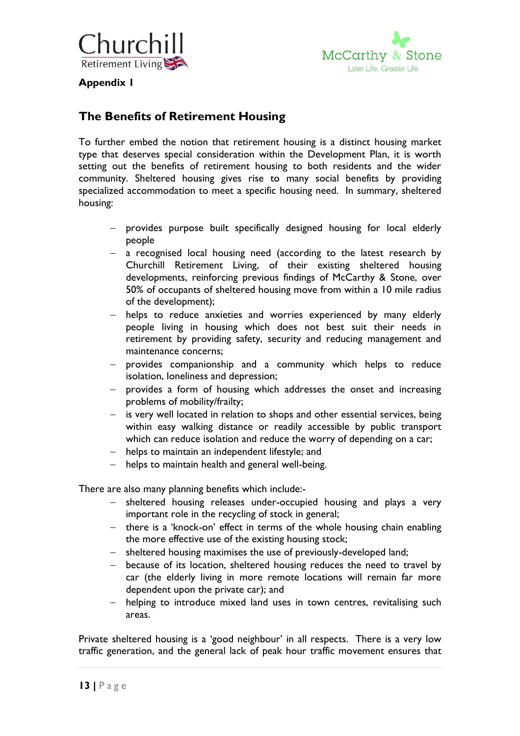



**Appendix 1**

# **The Benefits of Retirement Housing**

To further embed the notion that retirement housing is a distinct housing market type that deserves special consideration within the Development Plan, it is worth setting out the benefits of retirement housing to both residents and the wider community. Sheltered housing gives rise to many social benefits by providing specialized accommodation to meet a specific housing need. In summary, sheltered housing:

- provides purpose built specifically designed housing for local elderly people
- a recognised local housing need (according to the latest research by Churchill Retirement Living, of their existing sheltered housing developments, reinforcing previous findings of McCarthy & Stone, over 50% of occupants of sheltered housing move from within a 10 mile radius of the development);
- helps to reduce anxieties and worries experienced by many elderly people living in housing which does not best suit their needs in retirement by providing safety, security and reducing management and maintenance concerns;
- provides companionship and a community which helps to reduce isolation, loneliness and depression;
- provides a form of housing which addresses the onset and increasing problems of mobility/frailty;
- is very well located in relation to shops and other essential services, being within easy walking distance or readily accessible by public transport which can reduce isolation and reduce the worry of depending on a car;
- helps to maintain an independent lifestyle; and
- helps to maintain health and general well-being.

There are also many planning benefits which include:-

- sheltered housing releases under-occupied housing and plays a very important role in the recycling of stock in general;
- there is a 'knock-on' effect in terms of the whole housing chain enabling the more effective use of the existing housing stock;
- sheltered housing maximises the use of previously-developed land;
- because of its location, sheltered housing reduces the need to travel by car (the elderly living in more remote locations will remain far more dependent upon the private car); and
- helping to introduce mixed land uses in town centres, revitalising such areas.

Private sheltered housing is a 'good neighbour' in all respects. There is a very low traffic generation, and the general lack of peak hour traffic movement ensures that